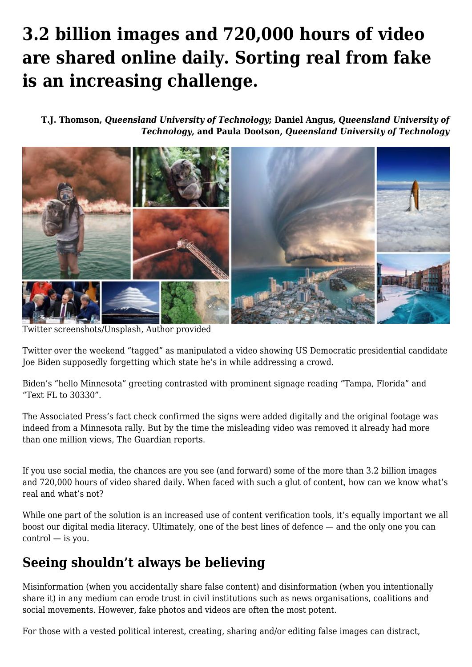# **[3.2 billion images and 720,000 hours of video](https://www.melbpc.org.au/3-2-billion-images-and-720000-hours-of-video-are-shared-online-daily-sorting-real-from-fake-is-an-increasing-challenge/) [are shared online daily. Sorting real from fake](https://www.melbpc.org.au/3-2-billion-images-and-720000-hours-of-video-are-shared-online-daily-sorting-real-from-fake-is-an-increasing-challenge/) [is an increasing challenge.](https://www.melbpc.org.au/3-2-billion-images-and-720000-hours-of-video-are-shared-online-daily-sorting-real-from-fake-is-an-increasing-challenge/)**

**[T.J. Thomson,](https://theconversation.com/profiles/t-j-thomson-503845)** *[Queensland University of Technology](https://theconversation.com/institutions/queensland-university-of-technology-847)***; [Daniel Angus](https://theconversation.com/profiles/daniel-angus-12403),** *[Queensland University of](https://theconversation.com/institutions/queensland-university-of-technology-847) [Technology](https://theconversation.com/institutions/queensland-university-of-technology-847)***, and [Paula Dootson](https://theconversation.com/profiles/paula-dootson-129022),** *[Queensland University of Technology](https://theconversation.com/institutions/queensland-university-of-technology-847)*



Twitter screenshots/Unsplash, Author provided

Twitter over the weekend "tagged" as manipulated a video showing US Democratic presidential candidate Joe Biden supposedly forgetting which state he's in while addressing a crowd.

Biden's "hello Minnesota" greeting contrasted with prominent signage reading "Tampa, Florida" and "Text FL to 30330".

The Associated Press's fact check [confirmed](https://apnews.com/article/joe-biden-video-altered-58124115393828f85cd496514bba4726) the signs were added digitally and the original footage was indeed from a Minnesota rally. But by the time the misleading video was removed it already had more than one million views, [The Guardian](https://www.theguardian.com/us-news/2020/nov/02/joe-biden-manipulated-video-mixing-up-states-twitter-removed) reports.

If you use social media, the chances are you see (and forward) some of the more than [3.2 billion](https://www.brandwatch.com/blog/amazing-social-media-statistics-and-facts/) images and [720,000 hours](https://www.tubefilter.com/2019/05/07/number-hours-video-uploaded-to-youtube-per-minute/) of video [shared daily](https://www.sciencedaily.com/releases/2020/10/201021112337.htm). When faced with such a glut of content, how can we know what's real and what's not?

While one part of the solution is an increased use of content verification tools, it's equally important we all boost our digital media literacy. Ultimately, one of the best lines of defence — and the only one you can control — is you.

#### **Seeing shouldn't always be believing**

Misinformation (when you accidentally share false content) and disinformation (when you intentionally share it) in any medium can [erode trust in civil institutions](https://theconversation.com/deepfake-videos-could-destroy-trust-in-society-heres-how-to-restore-it-110999) such as news organisations, coalitions and social movements. However, fake photos and videos are often the most potent.

For those with a vested political interest, creating, sharing and/or editing false images can distract,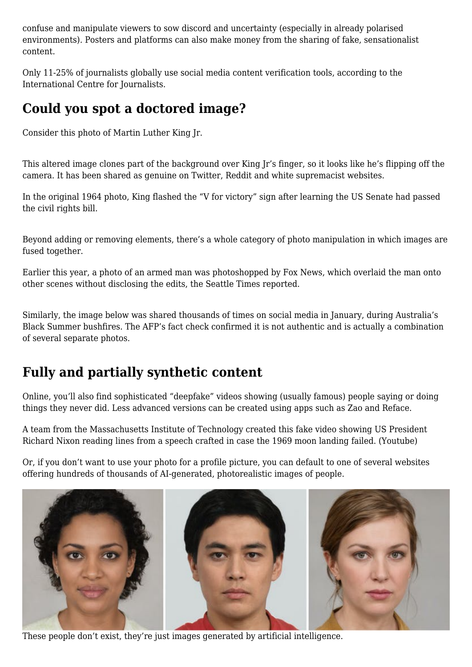confuse and manipulate viewers to sow discord and uncertainty (especially in already polarised environments). Posters and platforms can also make money from the sharing of fake, sensationalist content.

Only [11-25%](https://www.icfj.org/our-work/state-technology-global-newsrooms) of journalists globally use social media content verification tools, according to the International Centre for Journalists.

### **Could you spot a doctored image?**

Consider this photo of Martin Luther King Jr.

This [altered image](https://www.snopes.com/fact-check/mlk-flip-off/) clones part of the background over King Jr's finger, so it looks like he's flipping off the camera. It has been shared as genuine on [Twitter](https://twitter.com/HistoryInPics/status/400762777964646400), [Reddit](https://www.reddit.com/r/OldSchoolCool/comments/2t0z4t/the_man_the_legend_mlkj_early_50s/) and [white supremacist websites.](https://archive.is/POvXf)

In the [original](https://civilrights.flagler.edu/digital/collection/p16000coll3/id/103/) 1964 photo, King flashed the "V for victory" sign after learning the US Senate had passed the civil rights bill.

Beyond adding or removing elements, there's a whole category of photo manipulation in which images are fused together.

Earlier this year, a [photo](https://www.gettyimages.com.au/detail/news-photo/volunteer-works-security-at-an-entrance-to-the-so-called-news-photo/1219247529?uiloc=thumbnail_more_from_this_event_adp) of an armed man was photoshopped by [Fox News,](https://www.seattletimes.com/seattle-news/politics/fox-news-runs-digitally-altered-images-in-coverage-of-seattles-protests-capitol-hill-autonomous-zone/) which overlaid the man onto other scenes without disclosing the edits, the Seattle Times [reported](https://www.seattletimes.com/seattle-news/politics/fox-news-runs-digitally-altered-images-in-coverage-of-seattles-protests-capitol-hill-autonomous-zone/).

Similarly, the [image](https://perma.cc/XK5E-LFA3) below was shared thousands of times on social media in January, during Australia's Black Summer bushfires. The AFP's fact check [confirmed](https://factcheck.afp.com/virtual-image-was-created-artist-new-south-wales-australia-its-not-real-photo) it is not authentic and is actually a combination of [several](https://unsplash.com/photos/EerxztHCjM8) [separate](https://unsplash.com/photos/lzcDi7-MWL4) [photos.](https://unsplash.com/photos/hLUTRzcVkqg)

## **Fully and partially synthetic content**

Online, you'll also find sophisticated ["deepfake"](https://www.abc.net.au/triplej/programs/hack/in-event-of-moon-disaster-nixon-deepfake/12656698) videos showing (usually famous) people saying or doing things they never did. Less advanced versions can be created using apps [such as Zao](https://www.theverge.com/2019/9/2/20844338/zao-deepfake-app-movie-tv-show-face-replace-privacy-policy-concerns) and [Reface](https://techcrunch.com/2020/08/17/deepfake-video-app-reface-is-just-getting-started-on-shapeshifting-selfie-culture/).

A team from the Massachusetts Institute of Technology created this fake video showing US President Richard Nixon reading lines from a speech crafted in case the 1969 moon landing failed. (Youtube)

Or, if you don't want to use your photo for a profile picture, you can default to one of several [websites](https://generated.photos/) offering hundreds of thousands of AI-generated, photorealistic images of people.



These people don't exist, they're just images generated by artificial intelligence.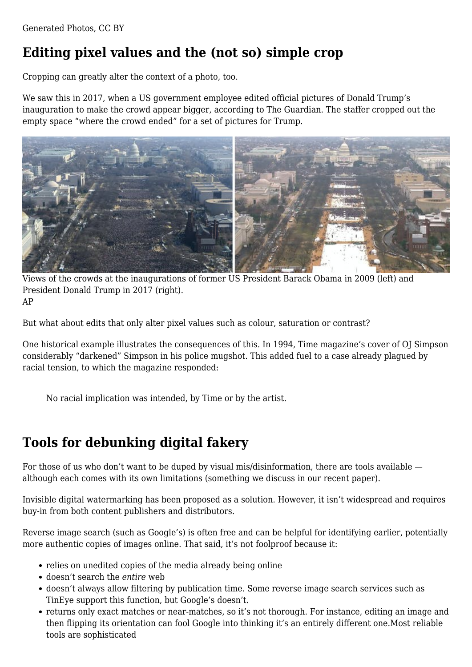## **Editing pixel values and the (not so) simple crop**

Cropping can greatly alter the context of a photo, too.

We saw this in 2017, when a US government employee edited official pictures of Donald Trump's inauguration to make the crowd appear bigger, according to [The Guardian](https://www.theguardian.com/world/2018/sep/06/donald-trump-inauguration-crowd-size-photos-edited). The staffer cropped out the empty space "where the crowd ended" for a set of pictures for Trump.



Views of the crowds at the inaugurations of former US President Barack Obama in 2009 (left) and President Donald Trump in 2017 (right). AP

But what about edits that only alter pixel values such as colour, saturation or contrast?

One historical example illustrates the consequences of this. In 1994, Time magazine's [cover](http://content.time.com/time/magazine/0,9263,7601940627,00.html) of OJ Simpson considerably "darkened" Simpson in his [police mugshot.](https://en.wikipedia.org/wiki/O._J._Simpson_murder_case#/media/File:Mug_shot_of_O.J._Simpson.jpg) This added fuel to a case already plagued by racial tension, to which the magazine [responded:](https://www.nytimes.com/1994/06/25/us/time-responds-to-criticism-over-simpson-cover.html)

No racial implication was intended, by Time or by the artist.

#### **Tools for debunking digital fakery**

For those of us who don't want to be duped by visual mis/disinformation, there are tools available although each comes with its own limitations (something we discuss in our recent [paper\)](https://www.tandfonline.com/doi/full/10.1080/17512786.2020.1832139).

Invisible [digital watermarking](https://www.bbc.co.uk/mediacentre/latestnews/2020/trusted-news-initiative) has been proposed as a solution. However, it isn't widespread and requires buy-in from both content publishers and distributors.

Reverse image search (such as [Google's](https://www.google.com/imghp?hl=EN)) is often free and can be helpful for identifying earlier, potentially more authentic copies of images online. That said, it's not foolproof because it:

- relies on unedited copies of the media already being online
- doesn't search the *entire* web
- doesn't always allow filtering by publication time. Some reverse image search services such as [TinEye](https://tineye.com/) support this function, but Google's doesn't.
- returns only exact matches or near-matches, so it's not thorough. For instance, editing an image and then flipping its orientation can fool Google into thinking it's an entirely different one.Most reliable tools are sophisticated